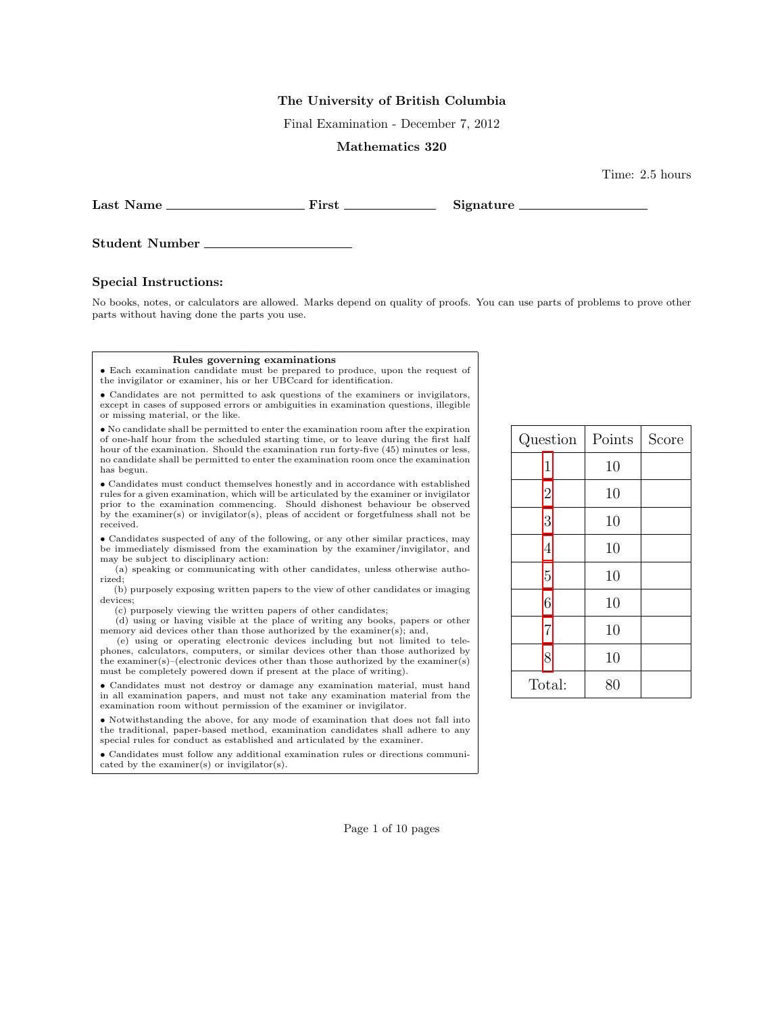#### The University of British Columbia

Final Examination - December 7, 2012

## Mathematics 320

Time: 2.5 hours

Last Name First Signature

Student Number

### Special Instructions:

No books, notes, or calculators are allowed. Marks depend on quality of proofs. You can use parts of problems to prove other parts without having done the parts you use.

### Rules governing examinations

• Each examination candidate must be prepared to produce, upon the request of the invigilator or examiner, his or her UBCcard for identification.

• Candidates are not permitted to ask questions of the examiners or invigilators, except in cases of supposed errors or ambiguities in examination questions, illegible or missing material, or the like.

• No candidate shall be permitted to enter the examination room after the expiration of one-half hour from the scheduled starting time, or to leave during the first half hour of the examination. Should the examination run forty-five (45) minutes or less, no candidate shall be permitted to enter the examination room once the examination has begun.

• Candidates must conduct themselves honestly and in accordance with established rules for a given examination, which will be articulated by the examiner or invigilator prior to the examination commencing. Should dishonest behaviour be observed by the examiner(s) or invigilator(s), pleas of accident or forgetfulness shall not be received.

• Candidates suspected of any of the following, or any other similar practices, may be immediately dismissed from the examination by the examiner/invigilator, and may be subject to disciplinary action:

(a) speaking or communicating with other candidates, unless otherwise authorized;

(b) purposely exposing written papers to the view of other candidates or imaging devices;

(c) purposely viewing the written papers of other candidates;

(d) using or having visible at the place of writing any books, papers or other memory aid devices other than those authorized by the examiner(s); and,

(e) using or operating electronic devices including but not limited to telephones, calculators, computers, or similar devices other than those authorized by the examiner(s)–(electronic devices other than those authorized by the examiner(s) must be completely powered down if present at the place of writing).

• Candidates must not destroy or damage any examination material, must hand in all examination papers, and must not take any examination material from the examination room without permission of the examiner or invigilator.

• Notwithstanding the above, for any mode of examination that does not fall into the traditional, paper-based method, examination candidates shall adhere to any special rules for conduct as established and articulated by the examiner.

• Candidates must follow any additional examination rules or directions communicated by the examiner(s) or invigilator(s).

| Question       | Points | Score |
|----------------|--------|-------|
| $\mathbf 1$    | 10     |       |
| $\overline{2}$ | 10     |       |
| 3              | 10     |       |
| 4              | 10     |       |
| $\overline{5}$ | 10     |       |
| 6              | 10     |       |
| $\overline{7}$ | 10     |       |
| 8              | 10     |       |
| Total:         | 80     |       |

Page 1 of 10 pages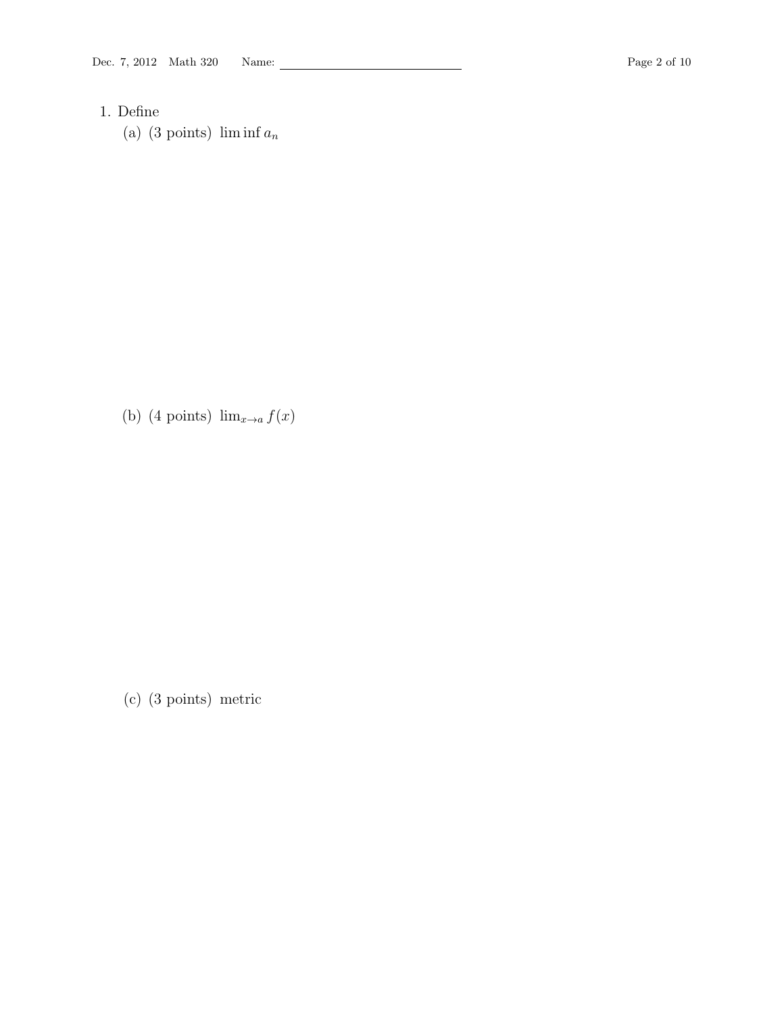# <span id="page-1-0"></span>1. Define

(a) (3 points) lim inf  $a_n$ 

(b) (4 points)  $\lim_{x\to a} f(x)$ 

(c) (3 points) metric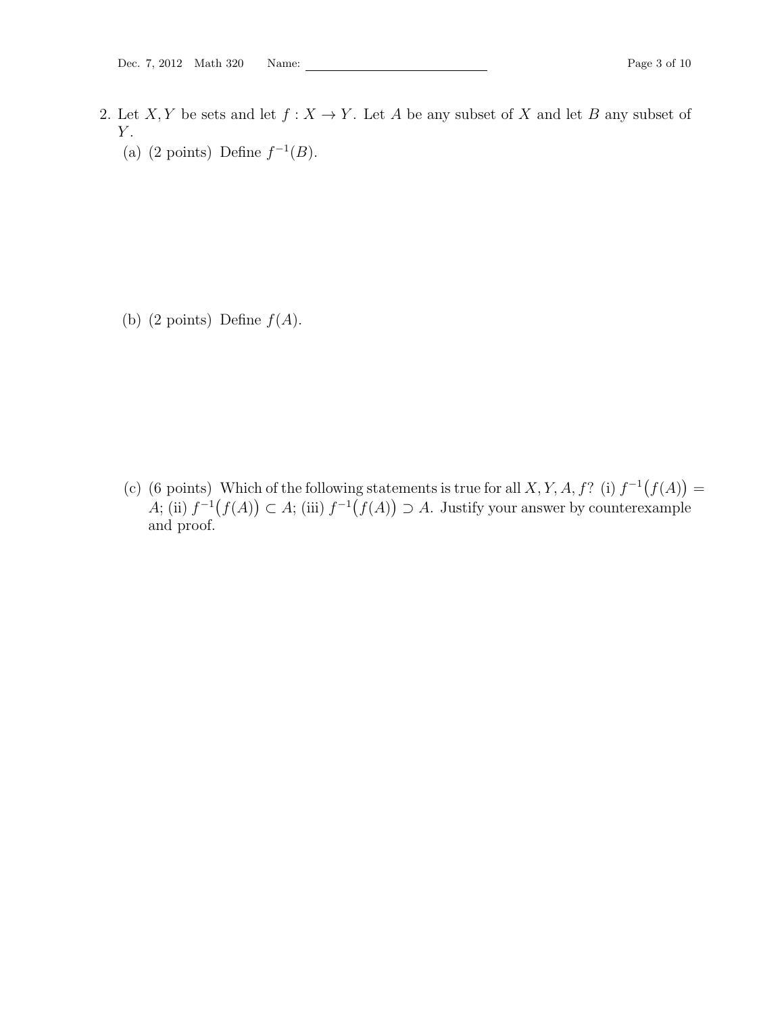<span id="page-2-0"></span>2. Let X, Y be sets and let  $f: X \to Y$ . Let A be any subset of X and let B any subset of Y . (a) (2 points) Define  $f^{-1}(B)$ .

(b) (2 points) Define  $f(A)$ .

(c) (6 points) Which of the following statements is true for all X, Y, A, f? (i)  $f^{-1}(f(A)) =$ A; (ii)  $f^{-1}(f(A)) \subset A$ ; (iii)  $f^{-1}(f(A)) \supset A$ . Justify your answer by counterexample and proof.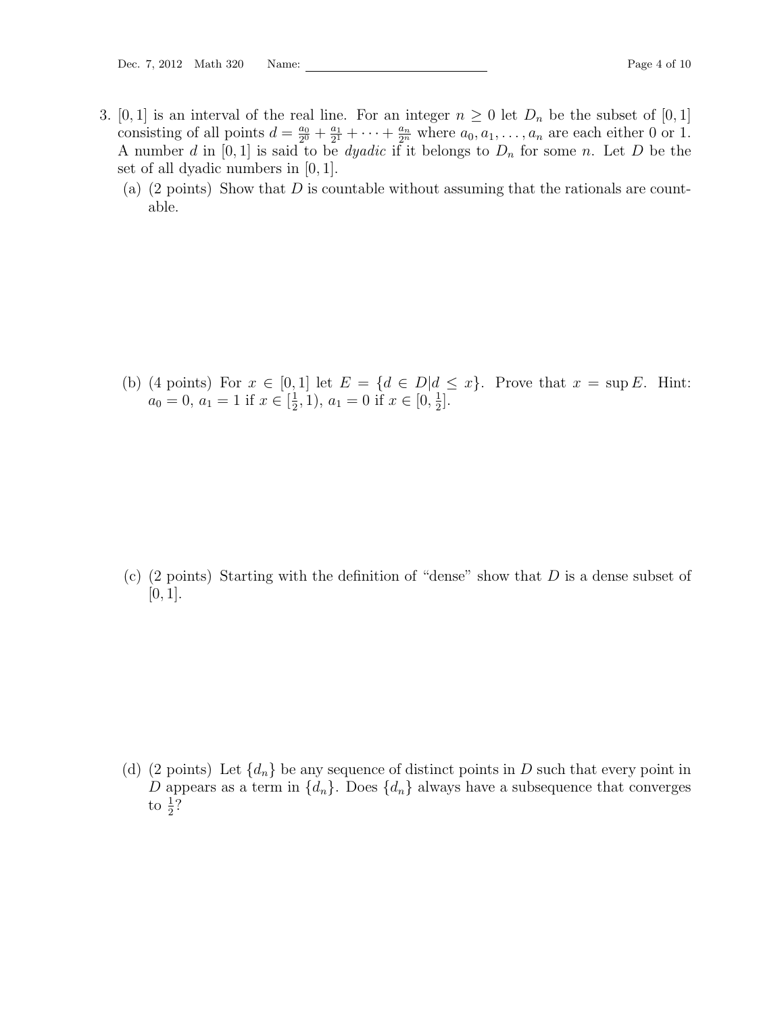- <span id="page-3-0"></span>3. [0, 1] is an interval of the real line. For an integer  $n \geq 0$  let  $D_n$  be the subset of [0, 1] consisting of all points  $d = \frac{a_0}{20}$  $\frac{a_0}{2^0} + \frac{a_1}{2^1}$  $\frac{a_1}{2^1} + \cdots + \frac{a_n}{2^n}$  where  $a_0, a_1, \ldots, a_n$  are each either 0 or 1. A number d in  $[0, 1]$  is said to be *dyadic* if it belongs to  $D_n$  for some n. Let D be the set of all dyadic numbers in [0, 1].
	- (a)  $(2 \text{ points})$  Show that D is countable without assuming that the rationals are countable.

(b) (4 points) For  $x \in [0,1]$  let  $E = \{d \in D | d \leq x\}$ . Prove that  $x = \sup E$ . Hint:  $a_0 = 0, a_1 = 1$  if  $x \in \left[\frac{1}{2}\right]$  $(\frac{1}{2}, 1), a_1 = 0$  if  $x \in [0, \frac{1}{2}]$  $\frac{1}{2}$ .

(c) (2 points) Starting with the definition of "dense" show that  $D$  is a dense subset of  $[0, 1]$ .

(d) (2 points) Let  $\{d_n\}$  be any sequence of distinct points in D such that every point in D appears as a term in  $\{d_n\}$ . Does  $\{d_n\}$  always have a subsequence that converges to  $\frac{1}{2}$ ?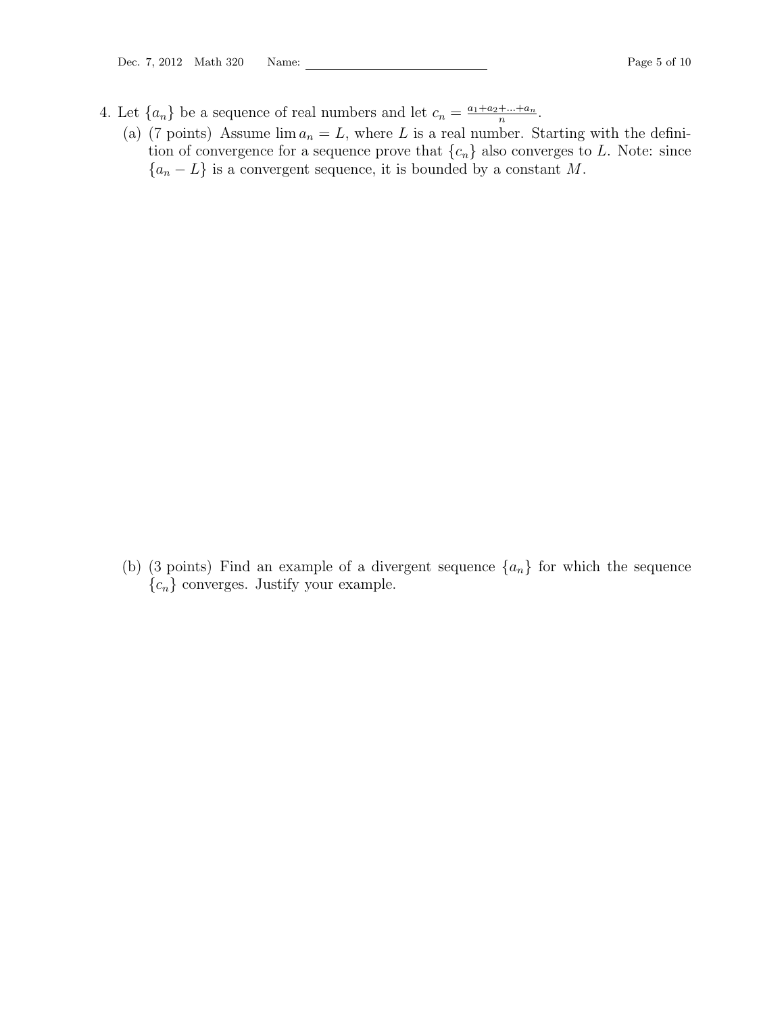- <span id="page-4-0"></span>4. Let  $\{a_n\}$  be a sequence of real numbers and let  $c_n = \frac{a_1 + a_2 + \dots + a_n}{n}$  $\frac{+...+a_n}{n}$  .
	- (a) (7 points) Assume  $\lim a_n = L$ , where L is a real number. Starting with the definition of convergence for a sequence prove that  ${c_n}$  also converges to L. Note: since  ${a_n - L}$  is a convergent sequence, it is bounded by a constant M.

(b) (3 points) Find an example of a divergent sequence  $\{a_n\}$  for which the sequence  ${c_n}$  converges. Justify your example.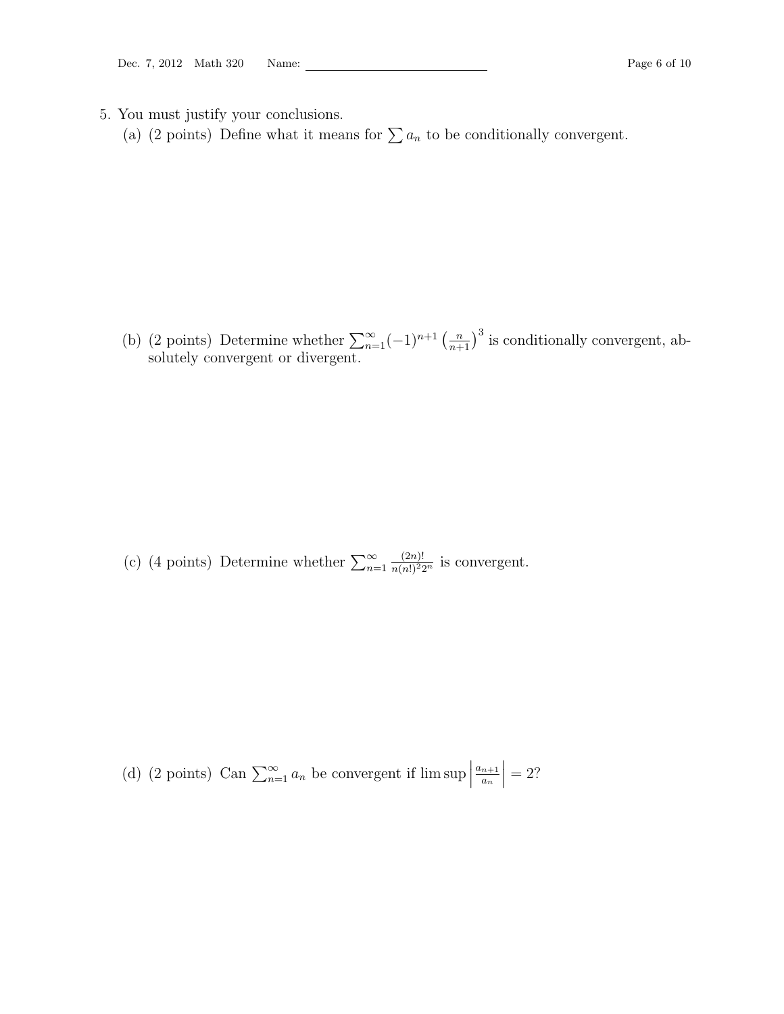- <span id="page-5-0"></span>5. You must justify your conclusions.
	- (a) (2 points) Define what it means for  $\sum a_n$  to be conditionally convergent.

(b) (2 points) Determine whether  $\sum_{n=1}^{\infty}(-1)^{n+1} \left(\frac{n}{n+1}\right)^3$  is conditionally convergent, absolutely convergent or divergent.

(c) (4 points) Determine whether  $\sum_{n=1}^{\infty}$  $rac{(2n)!}{n(n!)^2 2^n}$  is convergent.

(d) (2 points) Can  $\sum_{n=1}^{\infty} a_n$  be convergent if lim sup  $a_{n+1}$ an  $\begin{array}{c} \hline \end{array}$  $= 2?$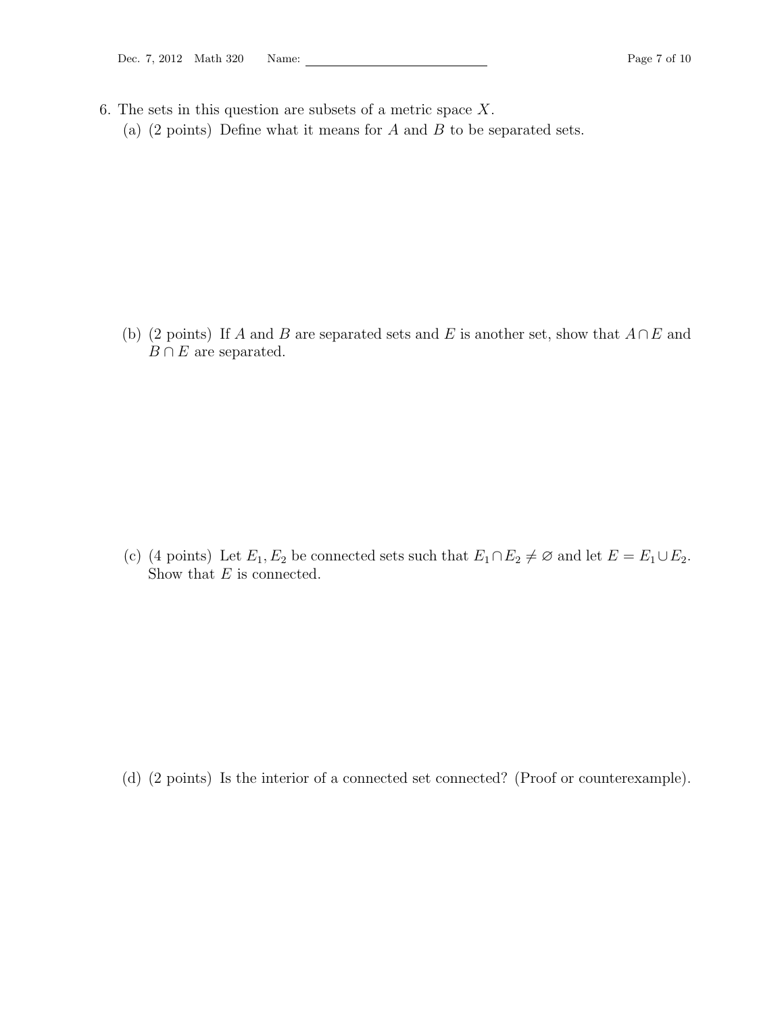- <span id="page-6-0"></span>6. The sets in this question are subsets of a metric space  $X$ .
	- (a)  $(2 \text{ points})$  Define what it means for A and B to be separated sets.

(b) (2 points) If A and B are separated sets and E is another set, show that  $A \cap E$  and  $B \cap E$  are separated.

(c) (4 points) Let  $E_1, E_2$  be connected sets such that  $E_1 \cap E_2 \neq \emptyset$  and let  $E = E_1 \cup E_2$ . Show that  $\cal E$  is connected.

(d) (2 points) Is the interior of a connected set connected? (Proof or counterexample).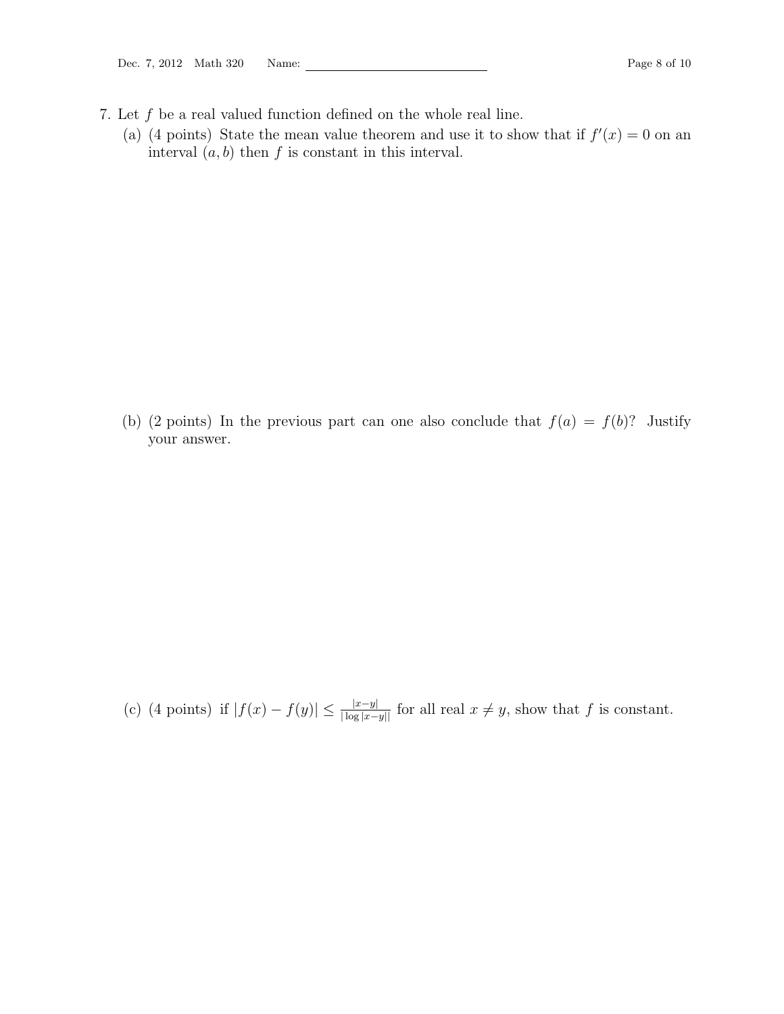- <span id="page-7-0"></span>7. Let  $f$  be a real valued function defined on the whole real line.
	- (a) (4 points) State the mean value theorem and use it to show that if  $f'(x) = 0$  on an interval  $(a, b)$  then f is constant in this interval.

(b) (2 points) In the previous part can one also conclude that  $f(a) = f(b)$ ? Justify your answer.

(c) (4 points) if  $|f(x) - f(y)| \le \frac{|x-y|}{|\log |x-y|}$  for all real  $x \ne y$ , show that f is constant.